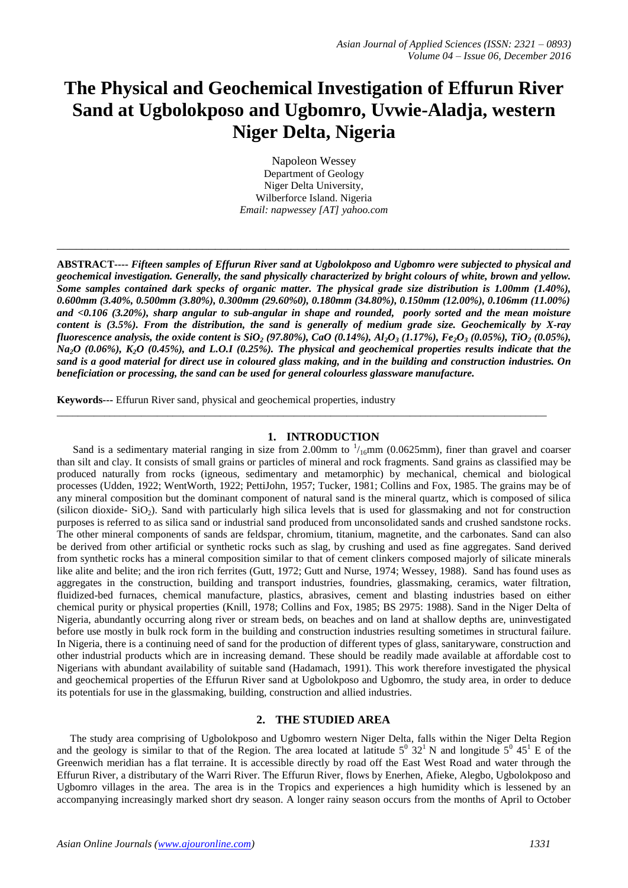# **The Physical and Geochemical Investigation of Effurun River Sand at Ugbolokposo and Ugbomro, Uvwie-Aladja, western Niger Delta, Nigeria**

Napoleon Wessey Department of Geology Niger Delta University, Wilberforce Island. Nigeria *Email: napwessey [AT] yahoo.com*

\_\_\_\_\_\_\_\_\_\_\_\_\_\_\_\_\_\_\_\_\_\_\_\_\_\_\_\_\_\_\_\_\_\_\_\_\_\_\_\_\_\_\_\_\_\_\_\_\_\_\_\_\_\_\_\_\_\_\_\_\_\_\_\_\_\_\_\_\_\_\_\_\_\_\_\_\_\_\_\_\_

**ABSTRACT----** *Fifteen samples of Effurun River sand at Ugbolokposo and Ugbomro were subjected to physical and geochemical investigation. Generally, the sand physically characterized by bright colours of white, brown and yellow. Some samples contained dark specks of organic matter. The physical grade size distribution is 1.00mm (1.40%), 0.600mm (3.40%, 0.500mm (3.80%), 0.300mm (29.60%0), 0.180mm (34.80%), 0.150mm (12.00%), 0.106mm (11.00%) and <0.106 (3.20%), sharp angular to sub-angular in shape and rounded, poorly sorted and the mean moisture content is (3.5%). From the distribution, the sand is generally of medium grade size. Geochemically by X-ray fluorescence analysis, the oxide content is SiO<sub>2</sub> (97.80%), CaO (0.14%), Al<sub>2</sub>O<sub>3</sub> (1.17%), Fe<sub>2</sub>O<sub>3</sub> (0.05%), TiO<sub>2</sub> (0.05%), Na2O (0.06%), K2O (0.45%), and L.O.I (0.25%). The physical and geochemical properties results indicate that the sand is a good material for direct use in coloured glass making, and in the building and construction industries. On beneficiation or processing, the sand can be used for general colourless glassware manufacture.*

**Keywords---** Effurun River sand, physical and geochemical properties, industry

# **1. INTRODUCTION**

\_\_\_\_\_\_\_\_\_\_\_\_\_\_\_\_\_\_\_\_\_\_\_\_\_\_\_\_\_\_\_\_\_\_\_\_\_\_\_\_\_\_\_\_\_\_\_\_\_\_\_\_\_\_\_\_\_\_\_\_\_\_\_\_\_\_\_\_\_\_\_\_\_\_\_\_\_\_\_\_\_\_\_\_\_\_\_\_\_\_\_\_\_

Sand is a sedimentary material ranging in size from 2.00mm to  $1/16$ mm (0.0625mm), finer than gravel and coarser than silt and clay. It consists of small grains or particles of mineral and rock fragments. Sand grains as classified may be produced naturally from rocks (igneous, sedimentary and metamorphic) by mechanical, chemical and biological processes (Udden, 1922; WentWorth, 1922; PettiJohn, 1957; Tucker, 1981; Collins and Fox, 1985. The grains may be of any mineral composition but the dominant component of natural sand is the mineral quartz, which is composed of silica (silicon dioxide-  $SiO<sub>2</sub>$ ). Sand with particularly high silica levels that is used for glassmaking and not for construction purposes is referred to as silica sand or industrial sand produced from unconsolidated sands and crushed sandstone rocks. The other mineral components of sands are feldspar, chromium, titanium, magnetite, and the carbonates. Sand can also be derived from other artificial or synthetic rocks such as slag, by crushing and used as fine aggregates. Sand derived from synthetic rocks has a mineral composition similar to that of cement clinkers composed majorly of silicate minerals like alite and belite; and the iron rich ferrites (Gutt, 1972; Gutt and Nurse, 1974; Wessey, 1988). Sand has found uses as aggregates in the construction, building and transport industries, foundries, glassmaking, ceramics, water filtration, fluidized-bed furnaces, chemical manufacture, plastics, abrasives, cement and blasting industries based on either chemical purity or physical properties (Knill, 1978; Collins and Fox, 1985; BS 2975: 1988). Sand in the Niger Delta of Nigeria, abundantly occurring along river or stream beds, on beaches and on land at shallow depths are, uninvestigated before use mostly in bulk rock form in the building and construction industries resulting sometimes in structural failure. In Nigeria, there is a continuing need of sand for the production of different types of glass, sanitaryware, construction and other industrial products which are in increasing demand. These should be readily made available at affordable cost to Nigerians with abundant availability of suitable sand (Hadamach, 1991). This work therefore investigated the physical and geochemical properties of the Effurun River sand at Ugbolokposo and Ugbomro, the study area, in order to deduce its potentials for use in the glassmaking, building, construction and allied industries.

### **2. THE STUDIED AREA**

 The study area comprising of Ugbolokposo and Ugbomro western Niger Delta, falls within the Niger Delta Region and the geology is similar to that of the Region. The area located at latitude  $5^0$  32<sup>1</sup> N and longitude  $5^0$  45<sup>1</sup> E of the Greenwich meridian has a flat terraine. It is accessible directly by road off the East West Road and water through the Effurun River, a distributary of the Warri River. The Effurun River, flows by Enerhen, Afieke, Alegbo, Ugbolokposo and Ugbomro villages in the area. The area is in the Tropics and experiences a high humidity which is lessened by an accompanying increasingly marked short dry season. A longer rainy season occurs from the months of April to October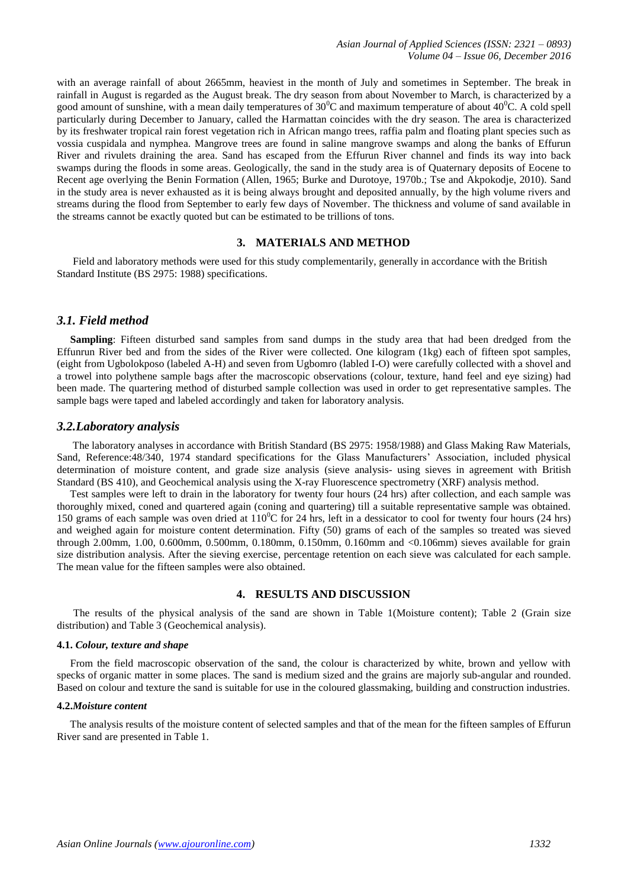with an average rainfall of about 2665mm, heaviest in the month of July and sometimes in September. The break in rainfall in August is regarded as the August break. The dry season from about November to March, is characterized by a good amount of sunshine, with a mean daily temperatures of  $30^0C$  and maximum temperature of about  $40^0C$ . A cold spell particularly during December to January, called the Harmattan coincides with the dry season. The area is characterized by its freshwater tropical rain forest vegetation rich in African mango trees, raffia palm and floating plant species such as vossia cuspidala and nymphea. Mangrove trees are found in saline mangrove swamps and along the banks of Effurun River and rivulets draining the area. Sand has escaped from the Effurun River channel and finds its way into back swamps during the floods in some areas. Geologically, the sand in the study area is of Quaternary deposits of Eocene to Recent age overlying the Benin Formation (Allen, 1965; Burke and Durotoye, 1970b.; Tse and Akpokodje, 2010). Sand in the study area is never exhausted as it is being always brought and deposited annually, by the high volume rivers and streams during the flood from September to early few days of November. The thickness and volume of sand available in the streams cannot be exactly quoted but can be estimated to be trillions of tons.

#### **3. MATERIALS AND METHOD**

 Field and laboratory methods were used for this study complementarily, generally in accordance with the British Standard Institute (BS 2975: 1988) specifications.

# *3.1. Field method*

 **Sampling**: Fifteen disturbed sand samples from sand dumps in the study area that had been dredged from the Effunrun River bed and from the sides of the River were collected. One kilogram (1kg) each of fifteen spot samples, (eight from Ugbolokposo (labeled A-H) and seven from Ugbomro (labled I-O) were carefully collected with a shovel and a trowel into polythene sample bags after the macroscopic observations (colour, texture, hand feel and eye sizing) had been made. The quartering method of disturbed sample collection was used in order to get representative samples. The sample bags were taped and labeled accordingly and taken for laboratory analysis.

#### *3.2.Laboratory analysis*

 The laboratory analyses in accordance with British Standard (BS 2975: 1958/1988) and Glass Making Raw Materials, Sand, Reference:48/340, 1974 standard specifications for the Glass Manufacturers' Association, included physical determination of moisture content, and grade size analysis (sieve analysis- using sieves in agreement with British Standard (BS 410), and Geochemical analysis using the X-ray Fluorescence spectrometry (XRF) analysis method.

 Test samples were left to drain in the laboratory for twenty four hours (24 hrs) after collection, and each sample was thoroughly mixed, coned and quartered again (coning and quartering) till a suitable representative sample was obtained. 150 grams of each sample was oven dried at  $110^{\circ}$ C for 24 hrs, left in a dessicator to cool for twenty four hours (24 hrs) and weighed again for moisture content determination. Fifty (50) grams of each of the samples so treated was sieved through 2.00mm, 1.00, 0.600mm, 0.500mm, 0.180mm, 0.150mm, 0.160mm and <0.106mm) sieves available for grain size distribution analysis. After the sieving exercise, percentage retention on each sieve was calculated for each sample. The mean value for the fifteen samples were also obtained.

# **4. RESULTS AND DISCUSSION**

 The results of the physical analysis of the sand are shown in Table 1(Moisture content); Table 2 (Grain size distribution) and Table 3 (Geochemical analysis).

#### **4.1.** *Colour, texture and shape*

From the field macroscopic observation of the sand, the colour is characterized by white, brown and yellow with specks of organic matter in some places. The sand is medium sized and the grains are majorly sub-angular and rounded. Based on colour and texture the sand is suitable for use in the coloured glassmaking, building and construction industries.

#### **4.2.***Moisture content*

 The analysis results of the moisture content of selected samples and that of the mean for the fifteen samples of Effurun River sand are presented in Table 1.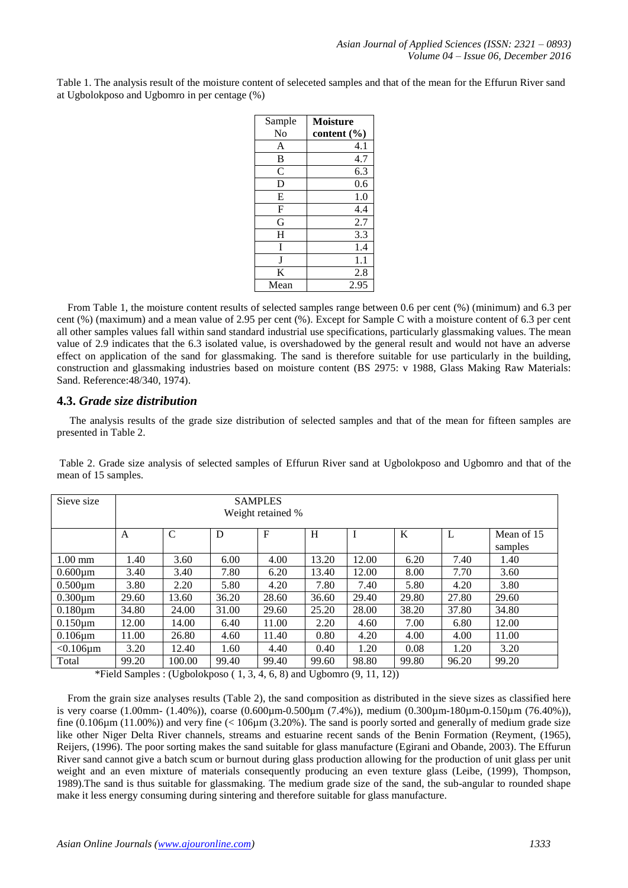Table 1. The analysis result of the moisture content of seleceted samples and that of the mean for the Effurun River sand at Ugbolokposo and Ugbomro in per centage (%)

| Sample        | <b>Moisture</b> |
|---------------|-----------------|
| No            | content (%)     |
| A             | 4.1             |
| B             | 4.7             |
| $\mathcal{C}$ | 6.3             |
| D             | 0.6             |
| E             | 1.0             |
| F             | 4.4             |
| G             | 2.7             |
| H             | 3.3             |
| I             | 1.4             |
| J             | 1.1             |
| K             | 2.8             |
| Mean          | 2.95            |

 From Table 1, the moisture content results of selected samples range between 0.6 per cent (%) (minimum) and 6.3 per cent (%) (maximum) and a mean value of 2.95 per cent (%). Except for Sample C with a moisture content of 6.3 per cent all other samples values fall within sand standard industrial use specifications, particularly glassmaking values. The mean value of 2.9 indicates that the 6.3 isolated value, is overshadowed by the general result and would not have an adverse effect on application of the sand for glassmaking. The sand is therefore suitable for use particularly in the building, construction and glassmaking industries based on moisture content (BS 2975: v 1988, Glass Making Raw Materials: Sand. Reference:48/340, 1974).

# **4.3.** *Grade size distribution*

The analysis results of the grade size distribution of selected samples and that of the mean for fifteen samples are presented in Table 2.

| Sieve size      | <b>SAMPLES</b><br>Weight retained % |              |       |       |       |       |       |       |            |  |
|-----------------|-------------------------------------|--------------|-------|-------|-------|-------|-------|-------|------------|--|
|                 | A                                   | $\mathsf{C}$ | D     | F     | H     |       | K     | L     | Mean of 15 |  |
|                 |                                     |              |       |       |       |       |       |       | samples    |  |
| $1.00$ mm       | 1.40                                | 3.60         | 6.00  | 4.00  | 13.20 | 12.00 | 6.20  | 7.40  | 1.40       |  |
| $0.600 \mu m$   | 3.40                                | 3.40         | 7.80  | 6.20  | 13.40 | 12.00 | 8.00  | 7.70  | 3.60       |  |
| $0.500 \mu m$   | 3.80                                | 2.20         | 5.80  | 4.20  | 7.80  | 7.40  | 5.80  | 4.20  | 3.80       |  |
| $0.300 \mu m$   | 29.60                               | 13.60        | 36.20 | 28.60 | 36.60 | 29.40 | 29.80 | 27.80 | 29.60      |  |
| $0.180 \mu m$   | 34.80                               | 24.00        | 31.00 | 29.60 | 25.20 | 28.00 | 38.20 | 37.80 | 34.80      |  |
| $0.150 \mu m$   | 12.00                               | 14.00        | 6.40  | 11.00 | 2.20  | 4.60  | 7.00  | 6.80  | 12.00      |  |
| $0.106 \mu m$   | 11.00                               | 26.80        | 4.60  | 11.40 | 0.80  | 4.20  | 4.00  | 4.00  | 11.00      |  |
| $< 0.106 \mu m$ | 3.20                                | 12.40        | 1.60  | 4.40  | 0.40  | 1.20  | 0.08  | 1.20  | 3.20       |  |
| Total           | 99.20                               | 100.00       | 99.40 | 99.40 | 99.60 | 98.80 | 99.80 | 96.20 | 99.20      |  |

Table 2. Grade size analysis of selected samples of Effurun River sand at Ugbolokposo and Ugbomro and that of the mean of 15 samples.

\*Field Samples : (Ugbolokposo  $(1, 3, 4, 6, 8)$  and Ugbomro  $(9, 11, 12)$ )

 From the grain size analyses results (Table 2), the sand composition as distributed in the sieve sizes as classified here is very coarse (1.00mm- (1.40%)), coarse (0.600µm-0.500µm (7.4%)), medium (0.300µm-180µm-0.150µm (76.40%)), fine  $(0.106 \text{µm} (11.00\%)$ ) and very fine  $(< 106 \text{µm} (3.20\%)$ . The sand is poorly sorted and generally of medium grade size like other Niger Delta River channels, streams and estuarine recent sands of the Benin Formation (Reyment, (1965), Reijers, (1996). The poor sorting makes the sand suitable for glass manufacture (Egirani and Obande, 2003). The Effurun River sand cannot give a batch scum or burnout during glass production allowing for the production of unit glass per unit weight and an even mixture of materials consequently producing an even texture glass (Leibe, (1999), Thompson, 1989).The sand is thus suitable for glassmaking. The medium grade size of the sand, the sub-angular to rounded shape make it less energy consuming during sintering and therefore suitable for glass manufacture.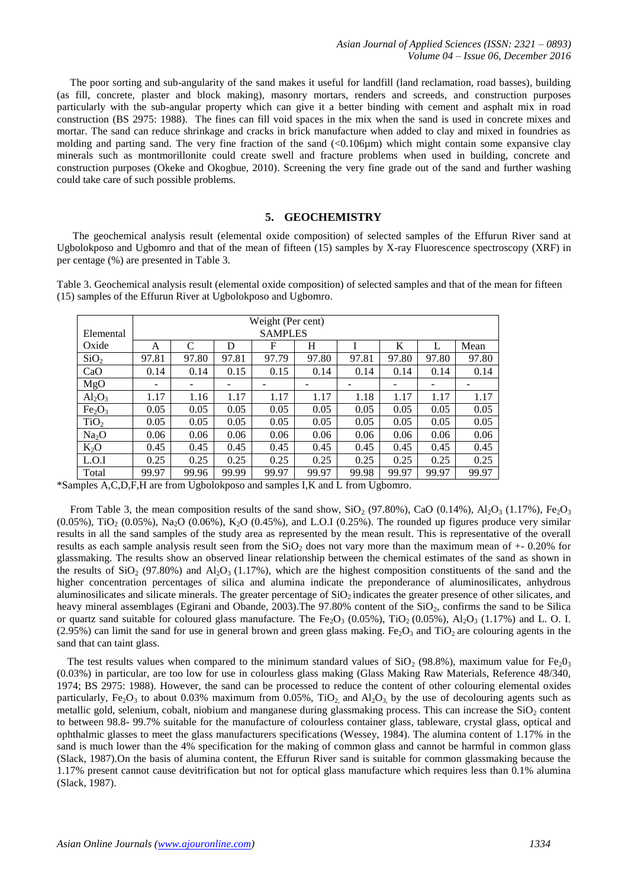*Asian Journal of Applied Sciences (ISSN: 2321 – 0893) Volume 04 – Issue 06, December 2016*

 The poor sorting and sub-angularity of the sand makes it useful for landfill (land reclamation, road basses), building (as fill, concrete, plaster and block making), masonry mortars, renders and screeds, and construction purposes particularly with the sub-angular property which can give it a better binding with cement and asphalt mix in road construction (BS 2975: 1988). The fines can fill void spaces in the mix when the sand is used in concrete mixes and mortar. The sand can reduce shrinkage and cracks in brick manufacture when added to clay and mixed in foundries as molding and parting sand. The very fine fraction of the sand  $\langle 0.106 \mu m \rangle$  which might contain some expansive clay minerals such as montmorillonite could create swell and fracture problems when used in building, concrete and construction purposes (Okeke and Okogbue, 2010). Screening the very fine grade out of the sand and further washing could take care of such possible problems.

#### **5. GEOCHEMISTRY**

 The geochemical analysis result (elemental oxide composition) of selected samples of the Effurun River sand at Ugbolokposo and Ugbomro and that of the mean of fifteen (15) samples by X-ray Fluorescence spectroscopy (XRF) in per centage (%) are presented in Table 3.

Table 3. Geochemical analysis result (elemental oxide composition) of selected samples and that of the mean for fifteen (15) samples of the Effurun River at Ugbolokposo and Ugbomro.

|                                | Weight (Per cent) |       |       |       |       |       |       |       |       |
|--------------------------------|-------------------|-------|-------|-------|-------|-------|-------|-------|-------|
| Elemental                      | <b>SAMPLES</b>    |       |       |       |       |       |       |       |       |
| Oxide                          | A                 | C     | D     | F     | H     |       | K     |       | Mean  |
| SiO <sub>2</sub>               | 97.81             | 97.80 | 97.81 | 97.79 | 97.80 | 97.81 | 97.80 | 97.80 | 97.80 |
| CaO                            | 0.14              | 0.14  | 0.15  | 0.15  | 0.14  | 0.14  | 0.14  | 0.14  | 0.14  |
| MgO                            | -                 |       |       |       |       |       | -     |       |       |
| $Al_2O_3$                      | 1.17              | 1.16  | 1.17  | 1.17  | 1.17  | 1.18  | 1.17  | 1.17  | 1.17  |
| Fe <sub>2</sub> O <sub>3</sub> | 0.05              | 0.05  | 0.05  | 0.05  | 0.05  | 0.05  | 0.05  | 0.05  | 0.05  |
| TiO <sub>2</sub>               | 0.05              | 0.05  | 0.05  | 0.05  | 0.05  | 0.05  | 0.05  | 0.05  | 0.05  |
| Na <sub>2</sub> O              | 0.06              | 0.06  | 0.06  | 0.06  | 0.06  | 0.06  | 0.06  | 0.06  | 0.06  |
| $K_2O$                         | 0.45              | 0.45  | 0.45  | 0.45  | 0.45  | 0.45  | 0.45  | 0.45  | 0.45  |
| L.O.I                          | 0.25              | 0.25  | 0.25  | 0.25  | 0.25  | 0.25  | 0.25  | 0.25  | 0.25  |
| Total                          | 99.97             | 99.96 | 99.99 | 99.97 | 99.97 | 99.98 | 99.97 | 99.97 | 99.97 |

\*Samples A,C,D,F,H are from Ugbolokposo and samples I,K and L from Ugbomro.

From Table 3, the mean composition results of the sand show,  $SiO_2$  (97.80%), CaO (0.14%), Al<sub>2</sub>O<sub>3</sub> (1.17%), Fe<sub>2</sub>O<sub>3</sub> (0.05%), TiO<sub>2</sub> (0.05%), Na<sub>2</sub>O (0.06%), K<sub>2</sub>O (0.45%), and L.O.I (0.25%). The rounded up figures produce very similar results in all the sand samples of the study area as represented by the mean result. This is representative of the overall results as each sample analysis result seen from the  $SiO<sub>2</sub>$  does not vary more than the maximum mean of  $+$ - 0.20% for glassmaking. The results show an observed linear relationship between the chemical estimates of the sand as shown in the results of  $SiO_2$  (97.80%) and  $Al_2O_3$  (1.17%), which are the highest composition constituents of the sand and the higher concentration percentages of silica and alumina indicate the preponderance of aluminosilicates, anhydrous aluminosilicates and silicate minerals. The greater percentage of  $SiO<sub>2</sub>$  indicates the greater presence of other silicates, and heavy mineral assemblages (Egirani and Obande, 2003). The  $97.80\%$  content of the SiO<sub>2</sub>, confirms the sand to be Silica or quartz sand suitable for coloured glass manufacture. The Fe<sub>2</sub>O<sub>3</sub> (0.05%), TiO<sub>2</sub> (0.05%), Al<sub>2</sub>O<sub>3</sub> (1.17%) and L. O. I. (2.95%) can limit the sand for use in general brown and green glass making. Fe<sub>2</sub>O<sub>3</sub> and TiO<sub>2</sub> are colouring agents in the sand that can taint glass.

The test results values when compared to the minimum standard values of  $SiO_2$  (98.8%), maximum value for Fe<sub>2</sub>0<sub>3</sub> (0.03%) in particular, are too low for use in colourless glass making (Glass Making Raw Materials, Reference 48/340, 1974; BS 2975: 1988). However, the sand can be processed to reduce the content of other colouring elemental oxides particularly, Fe<sub>2</sub>O<sub>3</sub> to about 0.03% maximum from 0.05%, TiO<sub>2</sub> and Al<sub>2</sub>O<sub>3</sub> by the use of decolouring agents such as metallic gold, selenium, cobalt, niobium and manganese during glassmaking process. This can increase the  $SiO<sub>2</sub>$  content to between 98.8- 99.7% suitable for the manufacture of colourless container glass, tableware, crystal glass, optical and ophthalmic glasses to meet the glass manufacturers specifications (Wessey, 1984). The alumina content of 1.17% in the sand is much lower than the 4% specification for the making of common glass and cannot be harmful in common glass (Slack, 1987).On the basis of alumina content, the Effurun River sand is suitable for common glassmaking because the 1.17% present cannot cause devitrification but not for optical glass manufacture which requires less than 0.1% alumina (Slack, 1987).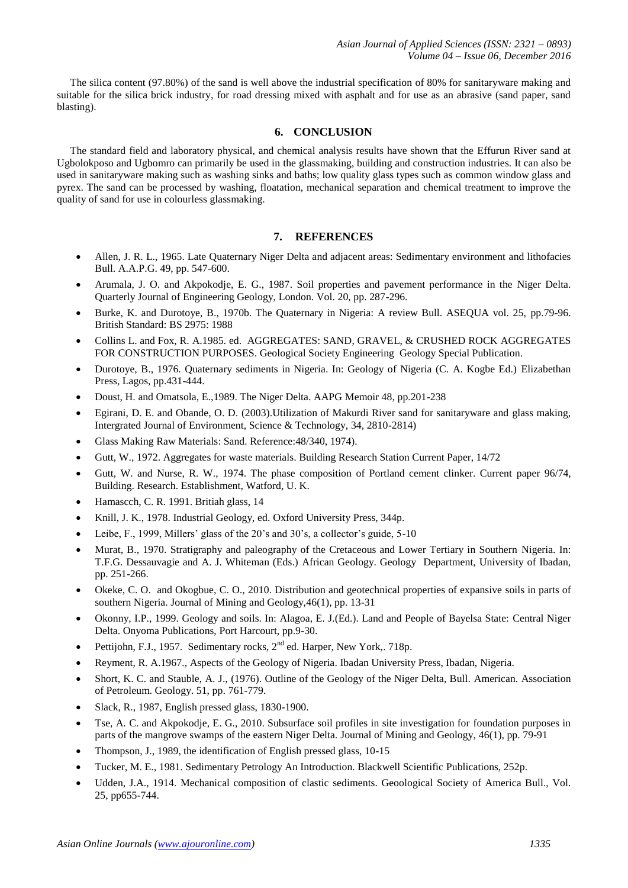The silica content (97.80%) of the sand is well above the industrial specification of 80% for sanitaryware making and suitable for the silica brick industry, for road dressing mixed with asphalt and for use as an abrasive (sand paper, sand blasting).

# **6. CONCLUSION**

 The standard field and laboratory physical, and chemical analysis results have shown that the Effurun River sand at Ugbolokposo and Ugbomro can primarily be used in the glassmaking, building and construction industries. It can also be used in sanitaryware making such as washing sinks and baths; low quality glass types such as common window glass and pyrex. The sand can be processed by washing, floatation, mechanical separation and chemical treatment to improve the quality of sand for use in colourless glassmaking.

# **7. REFERENCES**

- Allen, J. R. L., 1965. Late Quaternary Niger Delta and adjacent areas: Sedimentary environment and lithofacies Bull. A.A.P.G. 49, pp. 547-600.
- Arumala, J. O. and Akpokodje, E. G., 1987. Soil properties and pavement performance in the Niger Delta. Quarterly Journal of Engineering Geology, London. Vol. 20, pp. 287-296.
- Burke, K. and Durotoye, B., 1970b. The Quaternary in Nigeria: A review Bull. ASEQUA vol. 25, pp.79-96. British Standard: BS 2975: 1988
- Collins L. and Fox, R. A.1985. ed. AGGREGATES: SAND, GRAVEL, & CRUSHED ROCK AGGREGATES FOR CONSTRUCTION PURPOSES. Geological Society Engineering Geology Special Publication.
- Durotoye, B., 1976. Quaternary sediments in Nigeria. In: Geology of Nigeria (C. A. Kogbe Ed.) Elizabethan Press, Lagos, pp.431-444.
- Doust, H. and Omatsola, E.,1989. The Niger Delta. AAPG Memoir 48, pp.201-238
- Egirani, D. E. and Obande, O. D. (2003).Utilization of Makurdi River sand for sanitaryware and glass making, Intergrated Journal of Environment, Science & Technology, 34, 2810-2814)
- Glass Making Raw Materials: Sand. Reference:48/340, 1974).
- Gutt, W., 1972. Aggregates for waste materials. Building Research Station Current Paper, 14/72
- Gutt, W. and Nurse, R. W., 1974. The phase composition of Portland cement clinker. Current paper 96/74, Building. Research. Establishment, Watford, U. K.
- Hamascch, C. R. 1991. Britiah glass, 14
- Knill, J. K., 1978. Industrial Geology, ed. Oxford University Press, 344p.
- Leibe, F., 1999, Millers' glass of the 20's and 30's, a collector's guide, 5-10
- Murat, B., 1970. Stratigraphy and paleography of the Cretaceous and Lower Tertiary in Southern Nigeria. In: T.F.G. Dessauvagie and A. J. Whiteman (Eds.) African Geology. Geology Department, University of Ibadan, pp. 251-266.
- Okeke, C. O. and Okogbue, C. O., 2010. Distribution and geotechnical properties of expansive soils in parts of southern Nigeria. Journal of Mining and Geology,46(1), pp. 13-31
- Okonny, I.P., 1999. Geology and soils. In: Alagoa, E. J.(Ed.). Land and People of Bayelsa State: Central Niger Delta. Onyoma Publications, Port Harcourt, pp.9-30.
- Pettijohn, F.J., 1957. Sedimentary rocks, 2<sup>nd</sup> ed. Harper, New York,. 718p.
- Reyment, R. A.1967., Aspects of the Geology of Nigeria. Ibadan University Press, Ibadan, Nigeria.
- Short, K. C. and Stauble, A. J., (1976). Outline of the Geology of the Niger Delta, Bull. American. Association of Petroleum. Geology. 51, pp. 761-779.
- Slack, R., 1987, English pressed glass, 1830-1900.
- Tse, A. C. and Akpokodje, E. G., 2010. Subsurface soil profiles in site investigation for foundation purposes in parts of the mangrove swamps of the eastern Niger Delta. Journal of Mining and Geology, 46(1), pp. 79-91
- Thompson, J., 1989, the identification of English pressed glass, 10-15
- Tucker, M. E., 1981. Sedimentary Petrology An Introduction. Blackwell Scientific Publications, 252p.
- Udden, J.A., 1914. Mechanical composition of clastic sediments. Geoological Society of America Bull., Vol. 25, pp655-744.